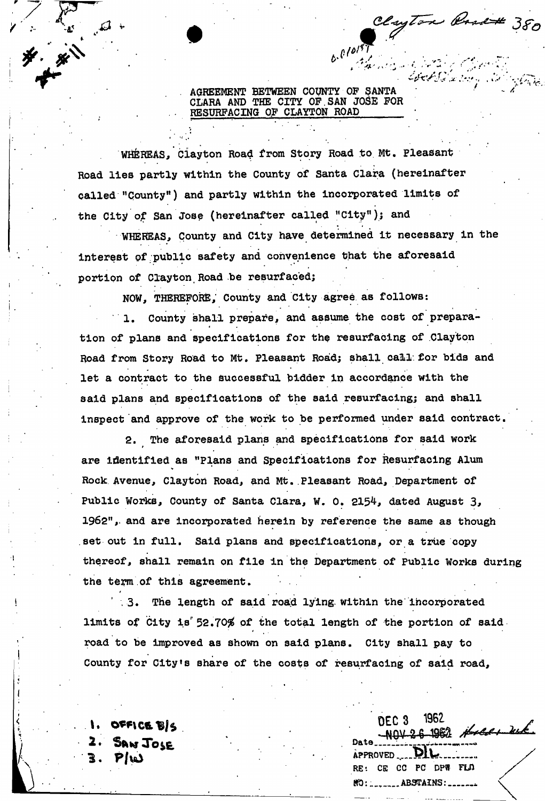AGREEMENT BETWEEN COUNTY OF SANTA CLARA AND THE CITY OP.SAN JOSE FOR RESURFACING OF CLAYTON ROAD

 $t \cdot \frac{\rho}{\rho}$ 

 $\mathcal{L} = \{ \mathcal{L} \mid \mathcal{L} \in \mathcal{L} \mid \mathcal{L} \in \mathcal{L} \}$ 

Clayton Park 380

*\* \**<sup>r</sup> ، • ابن ابن ابن ابن ابن المسلم المسلم المسلم المسلم المسلم المسلم المسلم المسلم المسلم المسلم المسلم المسلم ال

! :• *i<sup>1</sup>*

*-* ' •. '

بسوقو بالمستبقية

WHEREAS, Clayton Road from Story Road to Mt. Pleasant Road lies partly within the County of Santa Clara (hereinafter called "County") and partly within the incorporated limits of the City of San Jose (hereinafter called "City"); and

WHEREAS, County and City have determined it necessary in the interest pf public safety and convenience that the aforesaid portion of Clayton Road be resurfaced;

NOW, THEREFORE, County and City agree as follows:

1. County shall prepare, and assume the cost of preparation of plans and specifications for the resurfacing of Clayton Road from Story Road to Mt. Pleasant Road; shall call for bids and let a contract to the successful bidder in accordance with the said plans and specifications of the said resurfacing; and shall inspect and approve of the work to be performed under said contract.

2. The aforesaid plans and specifications for said work are identified as "Plans and Specifications for Resurfacing Alum Rock Avenue, Clayton Road, and Mt. Pleasant Road, Department of Public Works, County of Santa Clara, W. 0. 2154, dated August 3, 1962", and are incorporated herein by reference the same as though set out in full. Said plans and specifications, or a true copy thereof, shall remain on file in the Department of Public Works during the term.of this agreement,

.3. The length of said road lying within the incorporated limits of City is 52.70% of the total length of the portion of said . road to be improved as shown on said plans. City shall pay to County for City's share of the costs of resurfacing of said road,

OFFICE BIS

*1* 

*a* 

\* s

> 1962 DEC<sub>3</sub>  $2.22 - 47$ <br>
> 24. Saw Jose Date Date Date Date Diversity  $P/\omega$  approved  $\overline{P}$ RE: CE CC PC DPW FLD ffO:;. ABSTAINS: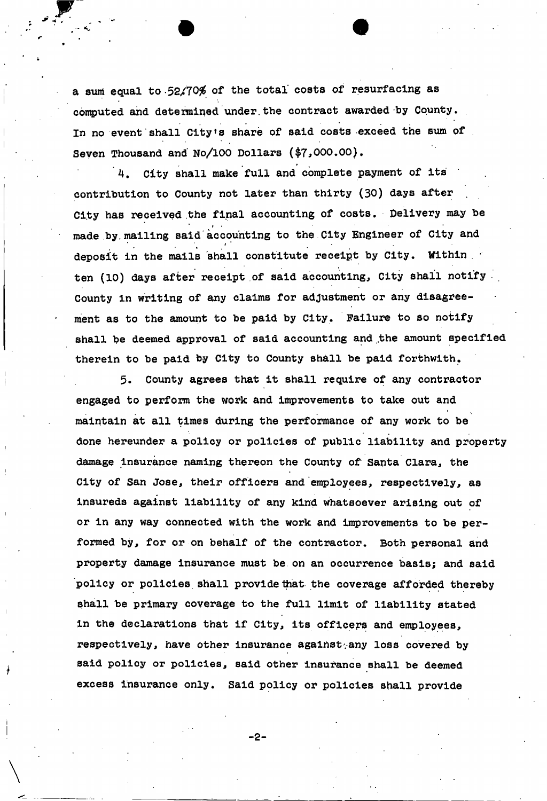a sum equal to 52.70% of the total costs of resurfacing as computed and detemined under.the contract awarded by County. In no event shall City's share of said costs exceed the sum of Seven Thousand and No/100 Dollars (\$7,000.00).

4. City shall make full and complete payment of its contribution to County not later than thirty (30) days after City has received the final accounting of costs. Delivery may be » . made by. mailing said accounting to the City Engineer of City and \* deposit in the mails shall constitute receipt by City. Within ten (10) days after receipt of said accounting, City shall notify County in writing of any claims for adjustment or any disagreement as to the amount to be paid by City. Failure to so notify shall be deemed approval of said accounting and the amount specified therein to be paid by City to County shall be paid forthwith.

5. County agrees that it shall require of any contractor engaged to perform the work and improvements to take out and maintain at all times during the performance of any work to be done hereunder a policy or policies of public liability and property damage insurance naming thereon the County of Santa Clara, the City of San Jose, their officers and employees, respectively, as insureds against liability of any kind whatsoever arising out of or in any way connected with the work and improvements to be performed by, for or on behalf of the contractor. Both personal and property damage insurance must be on an occurrence basis; and said policy or policies shall provide that the coverage afforded thereby shall be primary coverage to the full limit of liability stated in the declarations that if City, its officers and employees, respectively, have other insurance against any loss covered by said policy or policies, said other insurance shall be deemed excess insurance only. Said policy or policies shall provide

-2-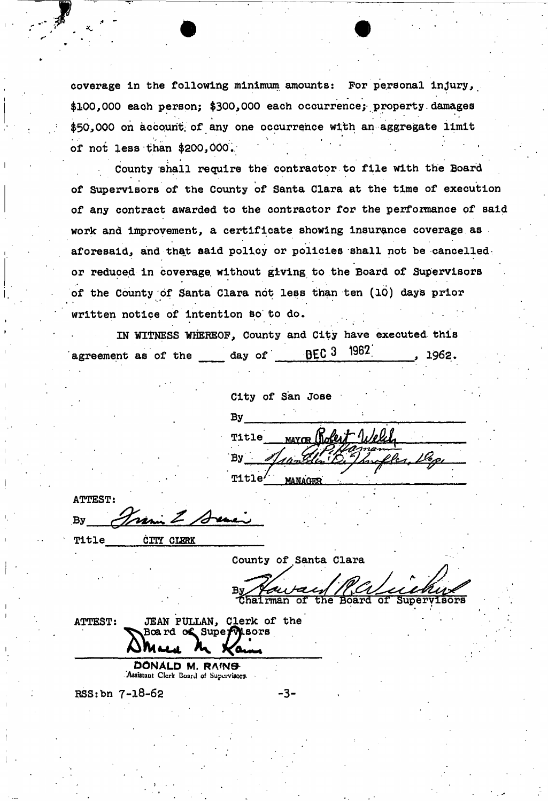coverage in the following minimum amounts: For personal injury, \$100,000 each person; \$300,000 each occurrence;- property. damages \$50,000 on account of any one occurrence with an aggregate limit of not less than \$200,000..

County shall require the contractor to file with the Board of Supervisors of the County of Santa Clara at the time of execution of any contract awarded to the contractor for the performance of said work and improvement, a certificate showing insurance coverage as aforesaid, and that said policy or policies shall not be cancelled: or reduced in coverage, without giving to the Board of Supervisors of the County of Santa Clara not less than ten (10) days prior written notice of intention 60 to do.

IN WITNESS WHEREOF, County and City have executed this agreement as of the day of  $BEC<sup>3</sup>$   $1962$  , 1962.

City of San Jose  $\mathop{\text{By}}$  , we have the set of the set of the set of the set of the set of the set of the set of the set of the set of the set of the set of the set of the set of the set of the set of the set of the set of the set of th MAYOR Robert Welch **Title**  $By$ Title MANAGER

ATTEST:  $By$   $\frac{1}{\sqrt{mn}}$   $\frac{1}{\sqrt{mn}}$ 

Title **CITY CLERK** 

County of Santa Clara u rax **lhairman of the Board of Supervisors** 

ATTEST: JEAN PULLAN, Clerk of the Bcard of SuperMisors a Maria M. Kam

Assistant Clerk Board of Supervisors.

 $RSS:bn 7-18-62$   $-3-$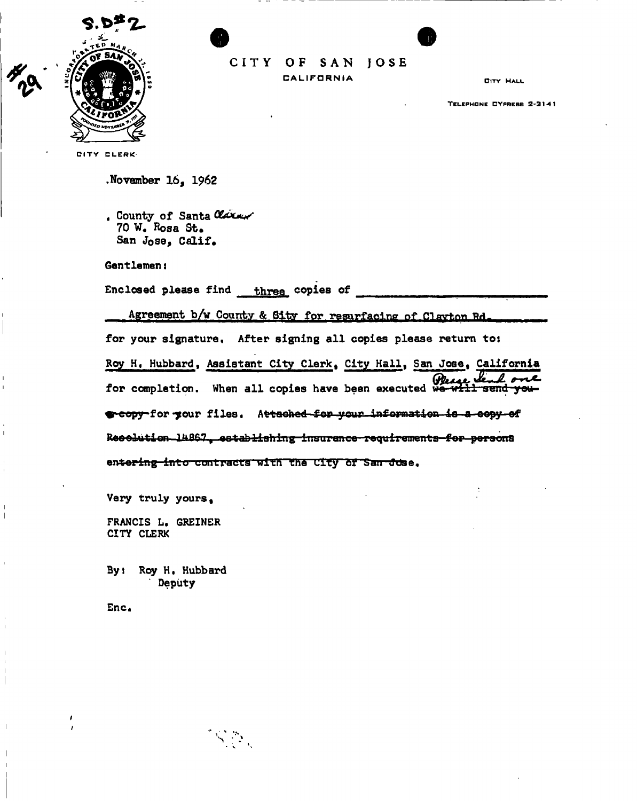

CITY OF SAN JOSE

**CALIFORNIA** 

**CITY HALL** 

TELEPHONE CYPRESS 2-3141

CITY CLERK

November  $16.1962$ 

. County of Santa Claren 70 W. Rosa St. San Jose, Calif.

Gentlemen:

Enclosed please find three copies of

 $\mathcal{S}_\text{max}$ 

Agreement b/w County & Sity for resurfacing of Clavton Rd. for your signature. After signing all copies please return to: Roy H. Hubbard, Assistant City Clerk, City Hall, San Jose, California for completion. When all copies have been executed we will send you s-copy-for-your files. Attached-for-your information-is-a-copy-of Reselution 14867 establishing insurance requirements for persons entering into contracts with the City of San Jose.

Very truly yours,

FRANCIS L. GREINER CITY CLERK

By: Roy H. Hubbard Deputy

Enc.